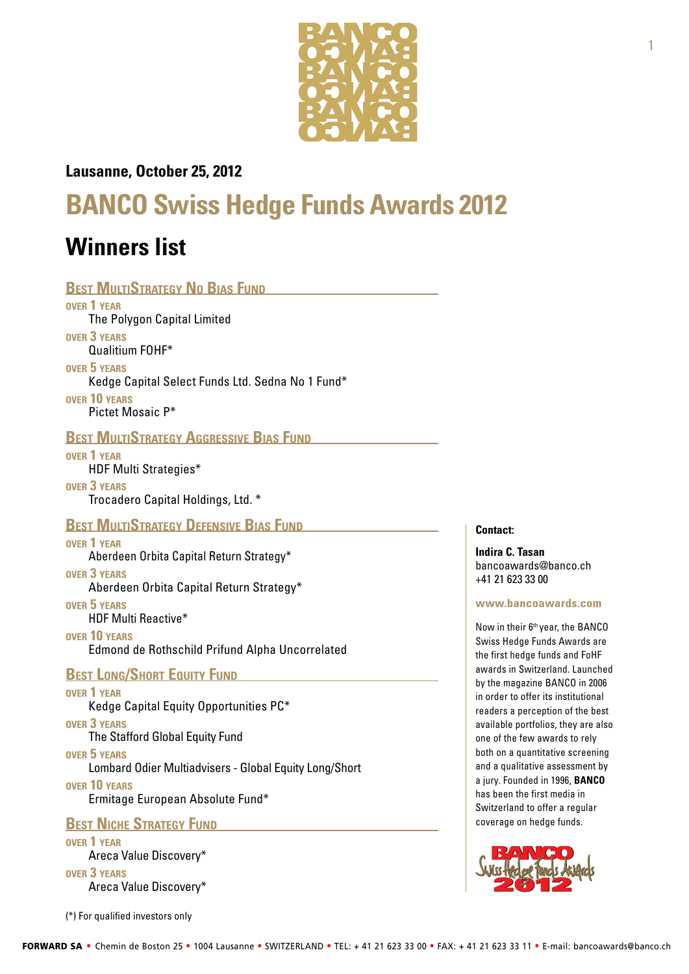

### **Lausanne, October 25, 2012**

# **BANCO Swiss Hedge Funds Awards 2012**

## **Winners list**

Lombard Odier Multiadvisers - Global Equity Long/Short

**over 10 years**

Ermitage European Absolute Fund\*

**BEST NICHE STRATEGY FUND** 

**over 1 year** Areca Value Discovery\* **over 3 years** Areca Value Discovery\*

(\*) For qualified investors only

**Contact:**

**Indira C. Tasan**  [bancoawards@banco.ch](mailto:bancoawards@banco.ch) +41 21 623 33 00

**[www.bancoawards.com](http://www.bancoawards.com)** 

Now in their 6<sup>th</sup> year, the BANCO Swiss Hedge Funds Awards are the first hedge funds and FoHF awards in Switzerland. Launched by the magazine BANCO in 2006 in order to offer its institutional readers a perception of the best available portfolios, they are also one of the few awards to rely both on a quantitative screening and a qualitative assessment by a jury. Founded in 1996, **[BANCO](http://www.banco.ch)**  has been the first media in Switzerland to offer a regular coverage on hedge funds.